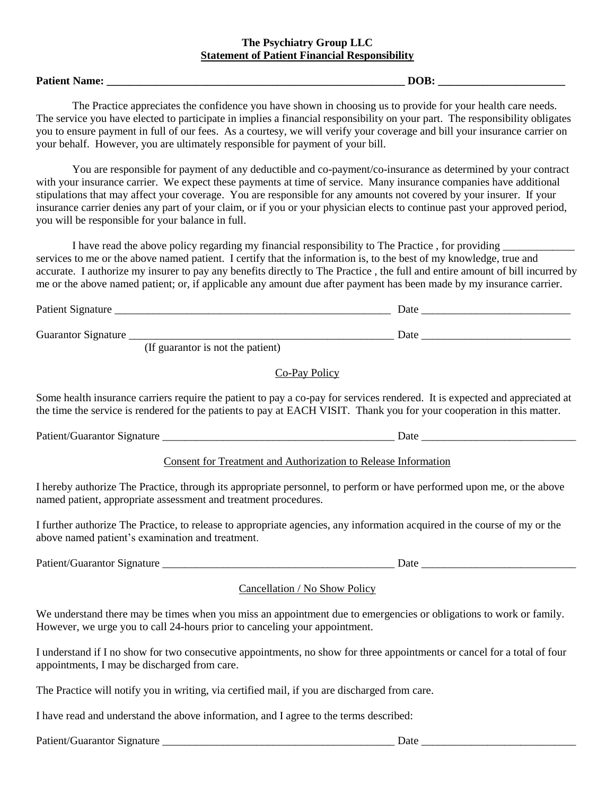### **The Psychiatry Group LLC Statement of Patient Financial Responsibility**

#### **Patient Name: \_\_\_\_\_\_\_\_\_\_\_\_\_\_\_\_\_\_\_\_\_\_\_\_\_\_\_\_\_\_\_\_\_\_\_\_\_\_\_\_\_\_\_\_\_\_\_\_\_\_\_\_\_\_ DOB: \_\_\_\_\_\_\_\_\_\_\_\_\_\_\_\_\_\_\_\_\_\_\_**

The Practice appreciates the confidence you have shown in choosing us to provide for your health care needs. The service you have elected to participate in implies a financial responsibility on your part. The responsibility obligates you to ensure payment in full of our fees. As a courtesy, we will verify your coverage and bill your insurance carrier on your behalf. However, you are ultimately responsible for payment of your bill.

You are responsible for payment of any deductible and co-payment/co-insurance as determined by your contract with your insurance carrier. We expect these payments at time of service. Many insurance companies have additional stipulations that may affect your coverage. You are responsible for any amounts not covered by your insurer. If your insurance carrier denies any part of your claim, or if you or your physician elects to continue past your approved period, you will be responsible for your balance in full.

I have read the above policy regarding my financial responsibility to The Practice, for providing services to me or the above named patient. I certify that the information is, to the best of my knowledge, true and accurate. I authorize my insurer to pay any benefits directly to The Practice , the full and entire amount of bill incurred by me or the above named patient; or, if applicable any amount due after payment has been made by my insurance carrier.

| Patient Signature   |                   |                                                                                                                 |  | Date |  |
|---------------------|-------------------|-----------------------------------------------------------------------------------------------------------------|--|------|--|
| Guarantor Signature | $\sqrt{r}$ $\sim$ | the contract of the contract of the contract of the contract of the contract of the contract of the contract of |  | Date |  |

(If guarantor is not the patient)

## Co-Pay Policy

Some health insurance carriers require the patient to pay a co-pay for services rendered. It is expected and appreciated at the time the service is rendered for the patients to pay at EACH VISIT. Thank you for your cooperation in this matter.

Patient/Guarantor Signature \_\_\_\_\_\_\_\_\_\_\_\_\_\_\_\_\_\_\_\_\_\_\_\_\_\_\_\_\_\_\_\_\_\_\_\_\_\_\_\_\_\_ Date \_\_\_\_\_\_\_\_\_\_\_\_\_\_\_\_\_\_\_\_\_\_\_\_\_\_\_\_

Consent for Treatment and Authorization to Release Information

I hereby authorize The Practice, through its appropriate personnel, to perform or have performed upon me, or the above named patient, appropriate assessment and treatment procedures.

I further authorize The Practice, to release to appropriate agencies, any information acquired in the course of my or the above named patient's examination and treatment.

Patient/Guarantor Signature \_\_\_\_\_\_\_\_\_\_\_\_\_\_\_\_\_\_\_\_\_\_\_\_\_\_\_\_\_\_\_\_\_\_\_\_\_\_\_\_\_\_ Date \_\_\_\_\_\_\_\_\_\_\_\_\_\_\_\_\_\_\_\_\_\_\_\_\_\_\_\_

Cancellation / No Show Policy

We understand there may be times when you miss an appointment due to emergencies or obligations to work or family. However, we urge you to call 24-hours prior to canceling your appointment.

I understand if I no show for two consecutive appointments, no show for three appointments or cancel for a total of four appointments, I may be discharged from care.

The Practice will notify you in writing, via certified mail, if you are discharged from care.

I have read and understand the above information, and I agree to the terms described:

| Patient/Guarantor Signature |  |
|-----------------------------|--|
|-----------------------------|--|